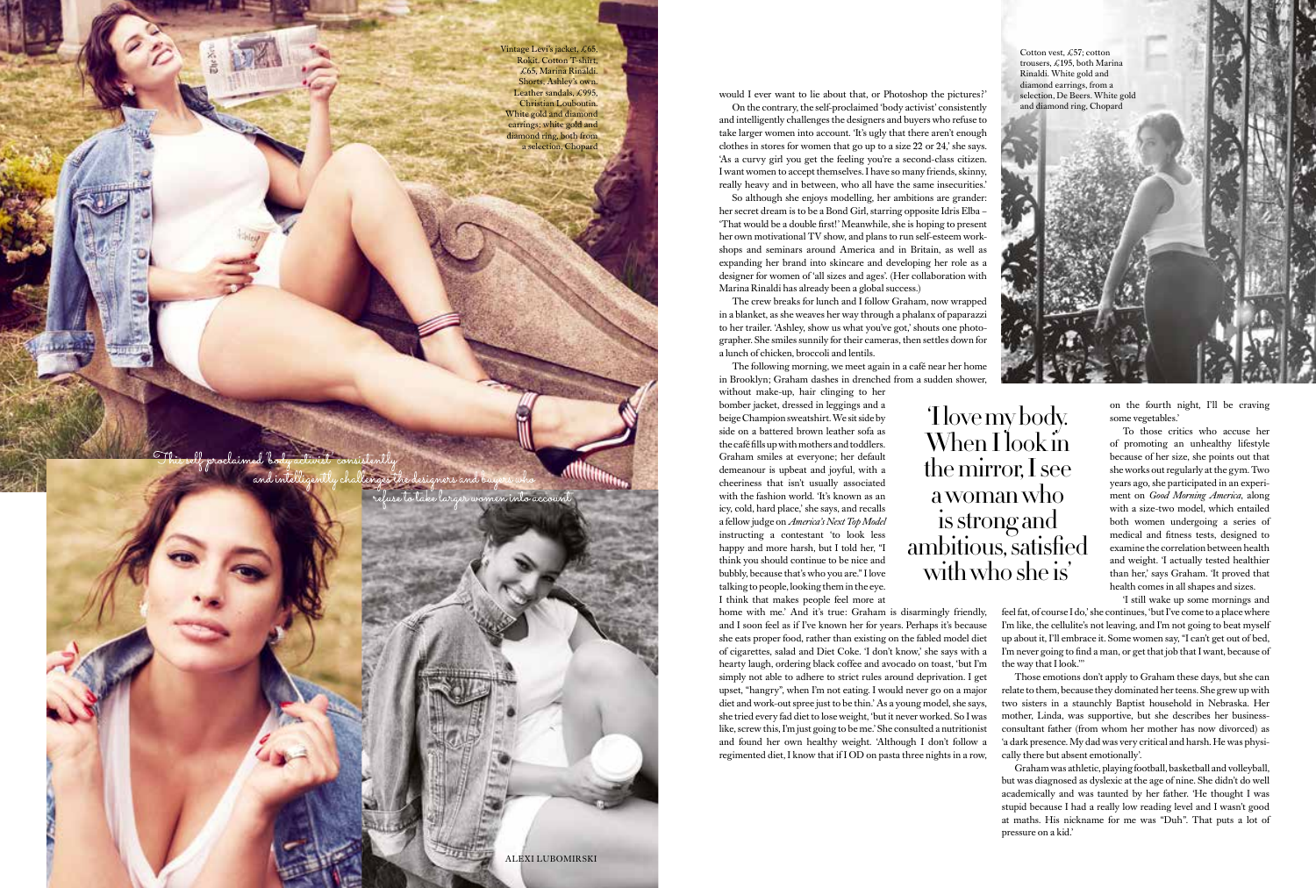'I love my body. When I look in the mirror, I see a woman who is strong and ambitious, satisfied with who she is'

Vintage Levi's jacket, £65, Rokit. Cotton T-shirt, £65, Marina Rinaldi. Shorts, Ashley's own. Leather sandals, £995 Christian Louboutin. White gold and diamond earrings; white gold and diamond ring, both from a selection, Chopard

ALEXI LUBOMIRSKI

en into acc

would I ever want to lie about that, or Photoshop the pictures?' On the contrary, the self-proclaimed 'body activist' consistently and intelligently challenges the designers and buyers who refuse to take larger women into account. 'It's ugly that there aren't enough clothes in stores for women that go up to a size 22 or 24,' she says. 'As a curvy girl you get the feeling you're a second-class citizen. I want women to accept themselves. I have so many friends, skinny, really heavy and in between, who all have the same insecurities.' So although she enjoys modelling, her ambitions are grander: her secret dream is to be a Bond Girl, starring opposite Idris Elba –

'That would be a double first!' Meanwhile, she is hoping to present her own motivational TV show, and plans to run self-esteem workshops and seminars around America and in Britain, as well as expanding her brand into skincare and developing her role as a designer for women of 'all sizes and ages'. (Her collaboration with Marina Rinaldi has already been a global success.) The crew breaks for lunch and I follow Graham, now wrapped

in a blanket, as she weaves her way through a phalanx of paparazzi to her trailer. 'Ashley, show us what you've got,' shouts one photographer. She smiles sunnily for their cameras, then settles down for a lunch of chicken, broccoli and lentils.

The following morning, we meet again in a café near her home in Brooklyn; Graham dashes in drenched from a sudden shower,

without make-up, hair clinging to her bomber jacket, dressed in leggings and a beige Champion sweatshirt. We sit side by side on a battered brown leather sofa as the café fills up with mothers and toddlers. Graham smiles at everyone; her default demeanour is upbeat and joyful, with a cheeriness that isn't usually associated with the fashion world. 'It's known as an icy, cold, hard place,' she says, and recalls a fellow judge on *America's Next Top Model* instructing a contestant 'to look less happy and more harsh, but I told her, "I think you should continue to be nice and bubbly, because that's who you are." I love talking to people, looking them in the eye. I think that makes people feel more at

on the fourth night, I'll be craving some vegetables.'

home with me.' And it's true: Graham is disarmingly friendly, and I soon feel as if I've known her for years. Perhaps it's because she eats proper food, rather than existing on the fabled model diet of cigarettes, salad and Diet Coke. 'I don't know,' she says with a hearty laugh, ordering black coffee and avocado on toast, 'but I'm simply not able to adhere to strict rules around deprivation. I get upset, "hangry", when I'm not eating. I would never go on a major diet and work-out spree just to be thin.' As a young model, she says, she tried every fad diet to lose weight, 'but it never worked. So I was like, screw this, I'm just going to be me.' She consulted a nutritionist and found her own healthy weight. 'Although I don't follow a regimented diet, I know that if I OD on pasta three nights in a row, 'I still wake up some mornings and feel fat, of course I do,' she continues, 'but I've come to a place where I'm like, the cellulite's not leaving, and I'm not going to beat myself up about it, I'll embrace it. Some women say, "I can't get out of bed, I'm never going to find a man, or get that job that I want, because of the way that I look.''' Those emotions don't apply to Graham these days, but she can relate to them, because they dominated her teens. She grew up with two sisters in a staunchly Baptist household in Nebraska. Her mother, Linda, was supportive, but she describes her businessconsultant father (from whom her mother has now divorced) as 'a dark presence. My dad was very critical and harsh. He was physically there but absent emotionally'.

To those critics who accuse her of promoting an unhealthy lifestyle because of her size, she points out that she works out regularly at the gym. Two years ago, she participated in an experiment on *Good Morning America*, along with a size-two model, which entailed both women undergoing a series of medical and fitness tests, designed to examine the correlation between health and weight. 'I actually tested healthier than her,' says Graham. 'It proved that health comes in all shapes and sizes.

Graham was athletic, playing football, basketball and volleyball, but was diagnosed as dyslexic at the age of nine. She didn't do well academically and was taunted by her father. 'He thought I was stupid because I had a really low reading level and I wasn't good at maths. His nickname for me was "Duh". That puts a lot of pressure on a kid.'

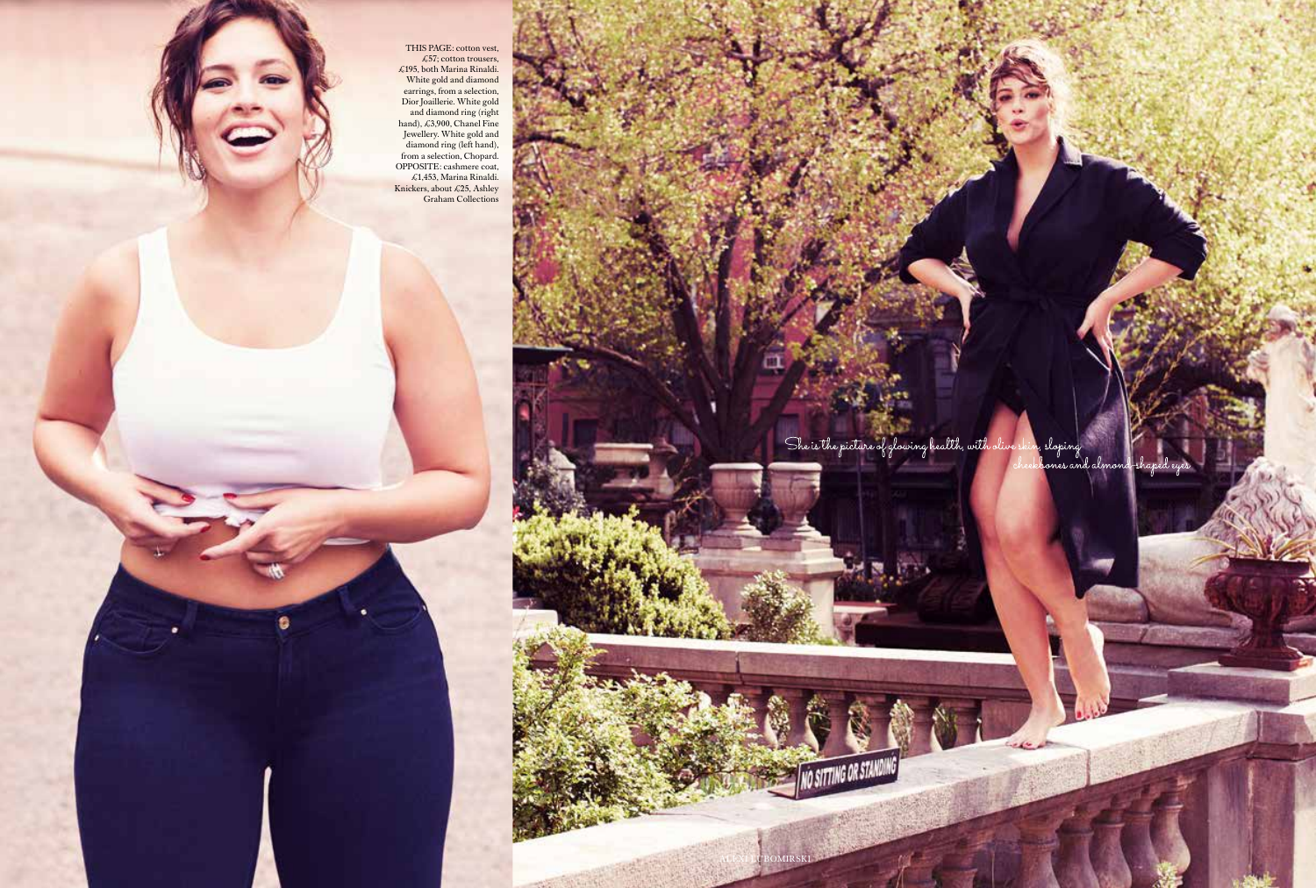THIS PAGE  $\star$ 57; col  $\sim$  195, both Ma **Example 3** W hite gold and  $\theta$ diamond earlings, tron **Figure 1** Dior Joanners embroidered and diamon hand),  $\pm 3,900$ THIS PAGE: cotton vest,  $\pounds 57$ ; cotton trousers, £195, both Marina Rinaldi. White gold and diamond earrings, from a selection, Dior Joaillerie. White gold and diamond ring (right hand), £3,900, Chanel Fine Jewellery. White gold and diamond ring (left hand), from a selection, Chopard. OPPOSITE: cashmere coat, £1,453, Marina Rinaldi. Knickers, about £25, Ashley Graham Collections

a

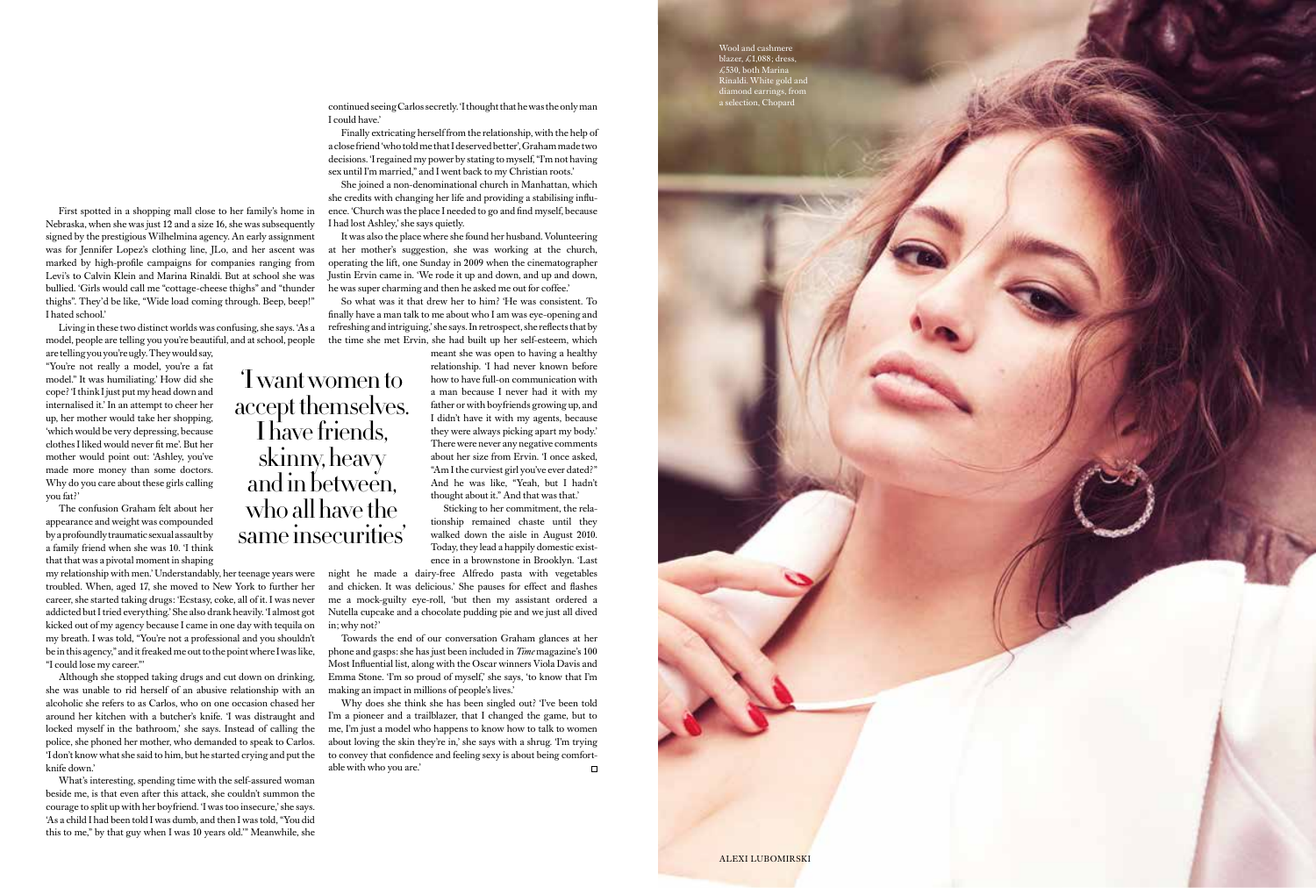'I want women to

I have friends,

skinny, heavy and in between, who all have the same insecurities'

Wool and cashmere blazer, £1,088; dress, £530, both Marina Rinaldi. White gold and diamond earrings, from a selection, Chopard



First spotted in a shopping mall close to her family's home in Nebraska, when she was just 12 and a size 16, she was subsequently signed by the prestigious Wilhelmina agency. An early assignment was for Jennifer Lopez's clothing line, JLo, and her ascent was marked by high-profile campaigns for companies ranging from Levi's to Calvin Klein and Marina Rinaldi. But at school she was bullied. 'Girls would call me "cottage-cheese thighs" and "thunder thighs". They'd be like, "Wide load coming through. Beep, beep!" I hated school.'

Living in these two distinct worlds was confusing, she says. 'As a model, people are telling you you're beautiful, and at school, people

are telling you you're ugly. They would say, "You're not really a model, you're a fat model." It was humiliating.' How did she cope? 'I think I just put my head down and internalised it.' In an attempt to cheer her up, her mother would take her shopping, 'which would be very depressing, because clothes I liked would never fit me'. But her mother would point out: 'Ashley, you've made more money than some doctors. Why do you care about these girls calling you fat?'

The confusion Graham felt about her appearance and weight was compounded by a profoundly traumatic sexual assault by a family friend when she was 10. 'I think that that was a pivotal moment in shaping

my relationship with men.' Understandably, her teenage years were troubled. When, aged 17, she moved to New York to further her career, she started taking drugs: 'Ecstasy, coke, all of it. I was never addicted but I tried everything.' She also drank heavily. 'I almost got kicked out of my agency because I came in one day with tequila on my breath. I was told, "You're not a professional and you shouldn't be in this agency," and it freaked me out to the point where I was like, "I could lose my career."'

accept themselves. relationship. 'I had never known before how to have full-on communication with a man because I never had it with my father or with boyfriends growing up, and I didn't have it with my agents, because they were always picking apart my body.' There were never any negative comments about her size from Ervin. 'I once asked, "Am I the curviest girl you've ever dated?" And he was like, "Yeah, but I hadn't thought about it." And that was that.'

Although she stopped taking drugs and cut down on drinking, she was unable to rid herself of an abusive relationship with an alcoholic she refers to as Carlos, who on one occasion chased her around her kitchen with a butcher's knife. 'I was distraught and locked myself in the bathroom,' she says. Instead of calling the police, she phoned her mother, who demanded to speak to Carlos. 'I don't know what she said to him, but he started crying and put the knife down.'

Why does she think she has been singled out? 'I've been told I'm a pioneer and a trailblazer, that I changed the game, but to me, I'm just a model who happens to know how to talk to women about loving the skin they're in,' she says with a shrug. 'I'm trying to convey that confidence and feeling sexy is about being comfortable with who you are.' $\Box$ 

What's interesting, spending time with the self-assured woman beside me, is that even after this attack, she couldn't summon the courage to split up with her boyfriend. 'I was too insecure,' she says. 'As a child I had been told I was dumb, and then I was told, "You did this to me," by that guy when I was 10 years old.'" Meanwhile, she

continued seeing Carlos secretly. 'I thought that he was the only man I could have.'

Finally extricating herself from the relationship, with the help of a close friend 'who told me that I deserved better', Graham made two decisions. 'I regained my power by stating to myself, "I'm not having sex until I'm married," and I went back to my Christian roots.'

She joined a non-denominational church in Manhattan, which she credits with changing her life and providing a stabilising influence. 'Church was the place I needed to go and find myself, because I had lost Ashley,' she says quietly.

It was also the place where she found her husband. Volunteering at her mother's suggestion, she was working at the church, operating the lift, one Sunday in 2009 when the cinematographer Justin Ervin came in. 'We rode it up and down, and up and down, he was super charming and then he asked me out for coffee.'

So what was it that drew her to him? 'He was consistent. To finally have a man talk to me about who I am was eye-opening and refreshing and intriguing,' she says. In retrospect, she reflects that by the time she met Ervin, she had built up her self-esteem, which meant she was open to having a healthy

> Sticking to her commitment, the relationship remained chaste until they walked down the aisle in August 2010. Today, they lead a happily domestic existence in a brownstone in Brooklyn. 'Last

night he made a dairy-free Alfredo pasta with vegetables and chicken. It was delicious.' She pauses for effect and flashes me a mock-guilty eye-roll, 'but then my assistant ordered a Nutella cupcake and a chocolate pudding pie and we just all dived in; why not?'

Towards the end of our conversation Graham glances at her phone and gasps: she has just been included in *Time* magazine's 100 Most Influential list, along with the Oscar winners Viola Davis and Emma Stone. 'I'm so proud of myself,' she says, 'to know that I'm making an impact in millions of people's lives.'